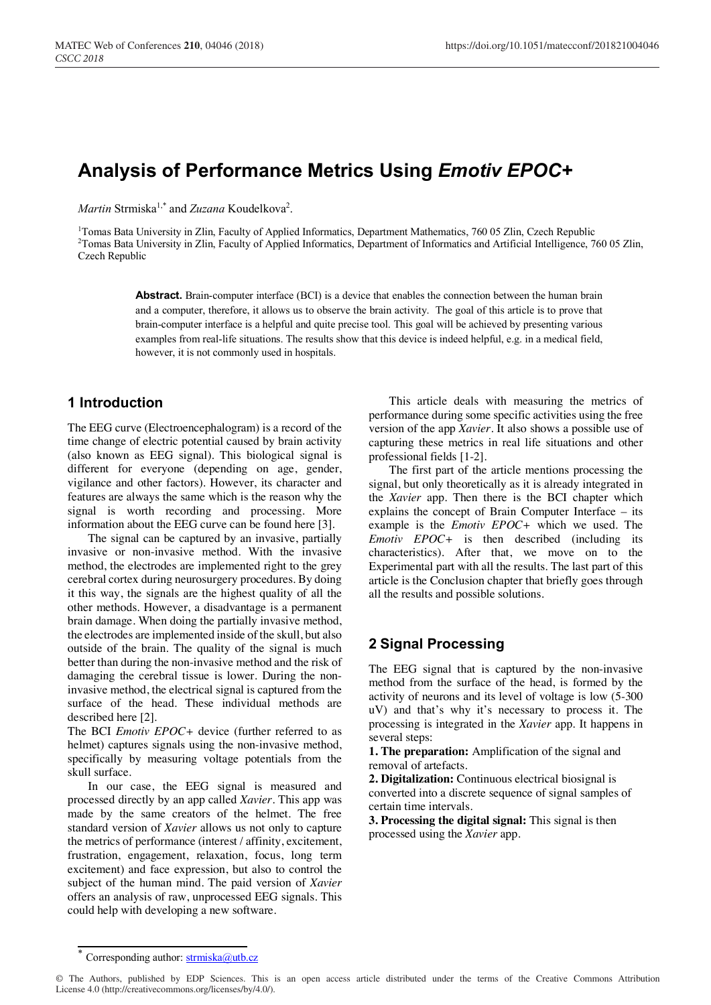# **Analysis of Performance Metrics Using** *Emotiv EPOC+*

*Martin* Strmiska<sup>1,\*</sup> and *Zuzana* Koudelkova<sup>2</sup>.

1 Tomas Bata University in Zlin, Faculty of Applied Informatics, Department Mathematics, 760 05 Zlin, Czech Republic 2 Tomas Bata University in Zlin, Faculty of Applied Informatics, Department of Informatics and Artificial Intelligence, 760 05 Zlin, Czech Republic

> Abstract. Brain-computer interface (BCI) is a device that enables the connection between the human brain and a computer, therefore, it allows us to observe the brain activity. The goal of this article is to prove that brain-computer interface is a helpful and quite precise tool. This goal will be achieved by presenting various examples from real-life situations. The results show that this device is indeed helpful, e.g. in a medical field, however, it is not commonly used in hospitals.

### **1 Introduction**

The EEG curve (Electroencephalogram) is a record of the time change of electric potential caused by brain activity (also known as EEG signal). This biological signal is different for everyone (depending on age, gender, vigilance and other factors). However, its character and features are always the same which is the reason why the signal is worth recording and processing. More information about the EEG curve can be found here [3].

The signal can be captured by an invasive, partially invasive or non-invasive method. With the invasive method, the electrodes are implemented right to the grey cerebral cortex during neurosurgery procedures. By doing it this way, the signals are the highest quality of all the other methods. However, a disadvantage is a permanent brain damage. When doing the partially invasive method, the electrodes are implemented inside of the skull, but also outside of the brain. The quality of the signal is much better than during the non-invasive method and the risk of damaging the cerebral tissue is lower. During the noninvasive method, the electrical signal is captured from the surface of the head. These individual methods are described here [2].

The BCI *Emotiv EPOC+* device (further referred to as helmet) captures signals using the non-invasive method, specifically by measuring voltage potentials from the skull surface.

In our case, the EEG signal is measured and processed directly by an app called *Xavier*. This app was made by the same creators of the helmet. The free standard version of *Xavier* allows us not only to capture the metrics of performance (interest / affinity, excitement, frustration, engagement, relaxation, focus, long term excitement) and face expression, but also to control the subject of the human mind. The paid version of *Xavier* offers an analysis of raw, unprocessed EEG signals. This could help with developing a new software.

This article deals with measuring the metrics of performance during some specific activities using the free version of the app *Xavier*. It also shows a possible use of capturing these metrics in real life situations and other professional fields [1-2].

The first part of the article mentions processing the signal, but only theoretically as it is already integrated in the *Xavier* app. Then there is the BCI chapter which explains the concept of Brain Computer Interface – its example is the *Emotiv EPOC+* which we used. The *Emotiv EPOC+* is then described (including its characteristics). After that, we move on to the Experimental part with all the results. The last part of this article is the Conclusion chapter that briefly goes through all the results and possible solutions.

# **2 Signal Processing**

The EEG signal that is captured by the non-invasive method from the surface of the head, is formed by the activity of neurons and its level of voltage is low (5-300 uV) and that's why it's necessary to process it. The processing is integrated in the *Xavier* app. It happens in several steps:

**1. The preparation:** Amplification of the signal and removal of artefacts.

**2. Digitalization:** Continuous electrical biosignal is converted into a discrete sequence of signal samples of certain time intervals.

**3. Processing the digital signal:** This signal is then processed using the *Xavier* app.

Corresponding author:  $stmiska@utb.cz$ </u>

<sup>©</sup> The Authors, published by EDP Sciences. This is an open access article distributed under the terms of the Creative Commons Attribution License 4.0 (http://creativecommons.org/licenses/by/4.0/).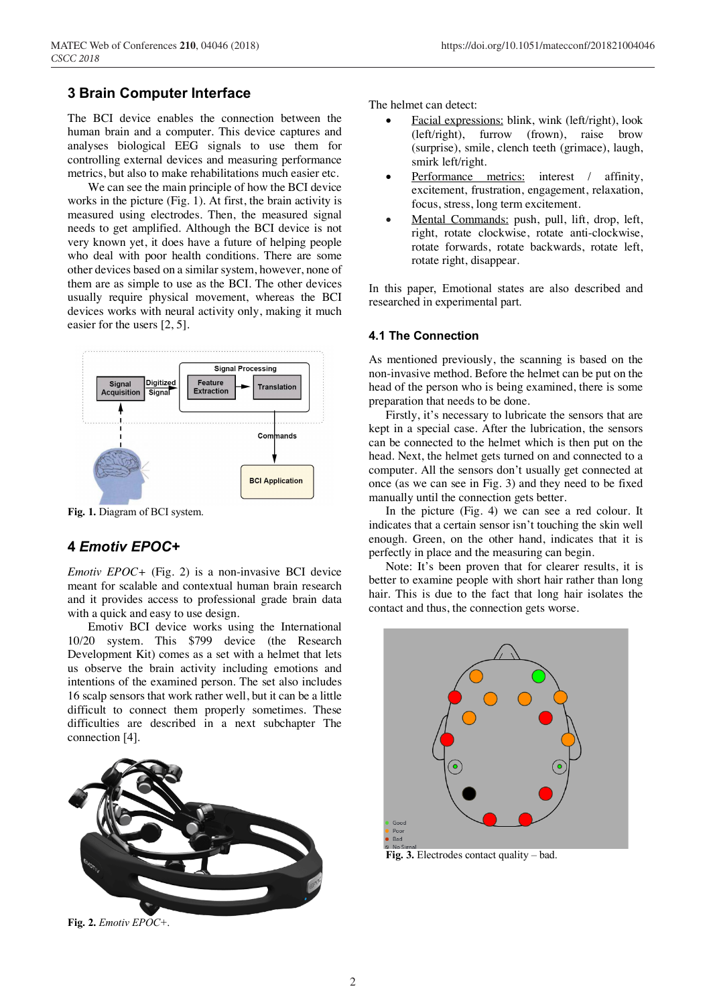### **3 Brain Computer Interface**

The BCI device enables the connection between the human brain and a computer. This device captures and analyses biological EEG signals to use them for controlling external devices and measuring performance metrics, but also to make rehabilitations much easier etc.

We can see the main principle of how the BCI device works in the picture (Fig. 1). At first, the brain activity is measured using electrodes. Then, the measured signal needs to get amplified. Although the BCI device is not very known yet, it does have a future of helping people who deal with poor health conditions. There are some other devices based on a similar system, however, none of them are as simple to use as the BCI. The other devices usually require physical movement, whereas the BCI devices works with neural activity only, making it much easier for the users [2, 5].



**Fig. 1.** Diagram of BCI system.

# **4** *Emotiv EPOC+*

*Emotiv EPOC+* (Fig. 2) is a non-invasive BCI device meant for scalable and contextual human brain research and it provides access to professional grade brain data with a quick and easy to use design.

Emotiv BCI device works using the International 10/20 system. This \$799 device (the Research Development Kit) comes as a set with a helmet that lets us observe the brain activity including emotions and intentions of the examined person. The set also includes 16 scalp sensors that work rather well, but it can be a little difficult to connect them properly sometimes. These difficulties are described in a next subchapter The connection [4].



**Fig. 2.** *Emotiv EPOC+*.

The helmet can detect:

- Facial expressions: blink, wink (left/right), look (left/right), furrow (frown), raise brow (surprise), smile, clench teeth (grimace), laugh, smirk left/right.
- Performance metrics: interest / affinity, excitement, frustration, engagement, relaxation, focus, stress, long term excitement.
- Mental Commands: push, pull, lift, drop, left, right, rotate clockwise, rotate anti-clockwise, rotate forwards, rotate backwards, rotate left, rotate right, disappear.

In this paper, Emotional states are also described and researched in experimental part.

#### **4.1 The Connection**

As mentioned previously, the scanning is based on the non-invasive method. Before the helmet can be put on the head of the person who is being examined, there is some preparation that needs to be done.

Firstly, it's necessary to lubricate the sensors that are kept in a special case. After the lubrication, the sensors can be connected to the helmet which is then put on the head. Next, the helmet gets turned on and connected to a computer. All the sensors don't usually get connected at once (as we can see in Fig. 3) and they need to be fixed manually until the connection gets better.

In the picture (Fig. 4) we can see a red colour. It indicates that a certain sensor isn't touching the skin well enough. Green, on the other hand, indicates that it is perfectly in place and the measuring can begin.

Note: It's been proven that for clearer results, it is better to examine people with short hair rather than long hair. This is due to the fact that long hair isolates the contact and thus, the connection gets worse.



**Fig. 3.** Electrodes contact quality – bad.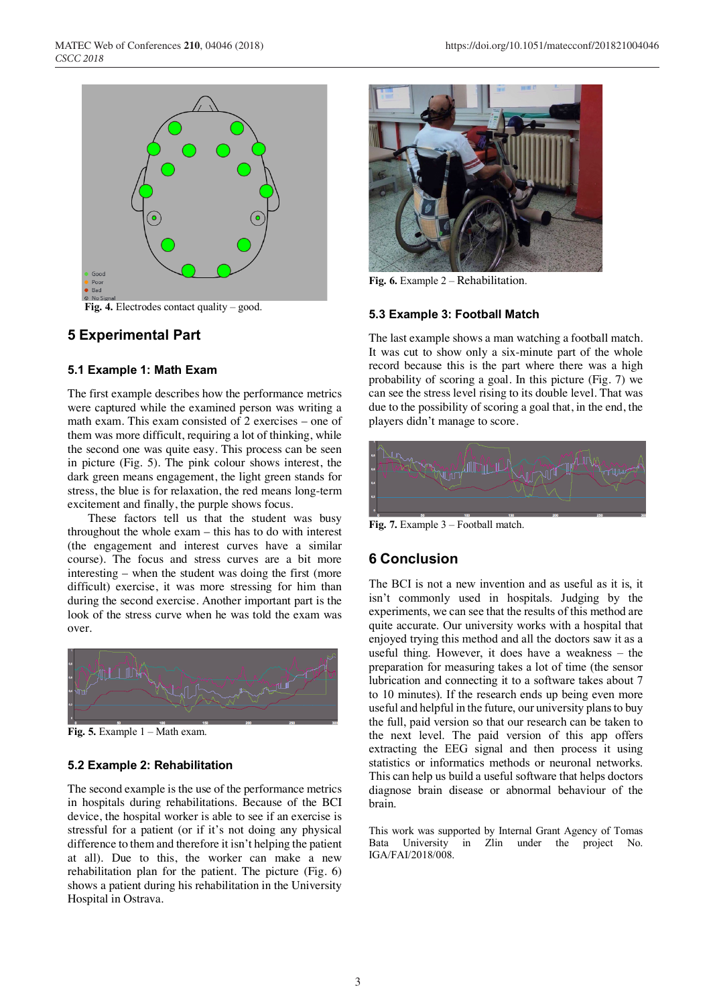



### **5 Experimental Part**

#### **5.1 Example 1: Math Exam**

The first example describes how the performance metrics were captured while the examined person was writing a math exam. This exam consisted of 2 exercises – one of them was more difficult, requiring a lot of thinking, while the second one was quite easy. This process can be seen in picture (Fig. 5). The pink colour shows interest, the dark green means engagement, the light green stands for stress, the blue is for relaxation, the red means long-term excitement and finally, the purple shows focus.

These factors tell us that the student was busy throughout the whole exam – this has to do with interest (the engagement and interest curves have a similar course). The focus and stress curves are a bit more interesting – when the student was doing the first (more difficult) exercise, it was more stressing for him than during the second exercise. Another important part is the look of the stress curve when he was told the exam was over.



**Fig. 5.** Example 1 – Math exam.

### **5.2 Example 2: Rehabilitation**

The second example is the use of the performance metrics in hospitals during rehabilitations. Because of the BCI device, the hospital worker is able to see if an exercise is stressful for a patient (or if it's not doing any physical difference to them and therefore it isn't helping the patient at all). Due to this, the worker can make a new rehabilitation plan for the patient. The picture (Fig. 6) shows a patient during his rehabilitation in the University Hospital in Ostrava.



**Fig. 6.** Example 2 – Rehabilitation.

#### **5.3 Example 3: Football Match**

The last example shows a man watching a football match. It was cut to show only a six-minute part of the whole record because this is the part where there was a high probability of scoring a goal. In this picture (Fig. 7) we can see the stress level rising to its double level. That was due to the possibility of scoring a goal that, in the end, the players didn't manage to score.



**Fig. 7.** Example 3 – Football match.

# **6 Conclusion**

The BCI is not a new invention and as useful as it is, it isn't commonly used in hospitals. Judging by the experiments, we can see that the results of this method are quite accurate. Our university works with a hospital that enjoyed trying this method and all the doctors saw it as a useful thing. However, it does have a weakness – the preparation for measuring takes a lot of time (the sensor lubrication and connecting it to a software takes about 7 to 10 minutes). If the research ends up being even more useful and helpful in the future, our university plans to buy the full, paid version so that our research can be taken to the next level. The paid version of this app offers extracting the EEG signal and then process it using statistics or informatics methods or neuronal networks. This can help us build a useful software that helps doctors diagnose brain disease or abnormal behaviour of the brain.

This work was supported by Internal Grant Agency of Tomas Bata University in Zlin under the project No. IGA/FAI/2018/008.